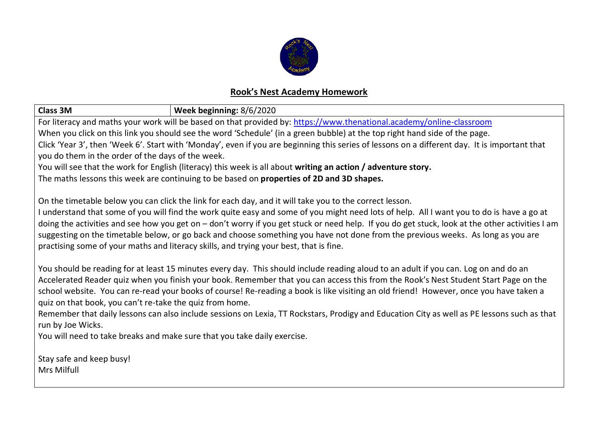

## **Rook's Nest Academy Homework**

| <b>Class 3M</b><br>Week beginning: 8/6/2020                                                                                                     |  |  |  |  |  |  |  |  |
|-------------------------------------------------------------------------------------------------------------------------------------------------|--|--|--|--|--|--|--|--|
| For literacy and maths your work will be based on that provided by: https://www.thenational.academy/online-classroom                            |  |  |  |  |  |  |  |  |
| When you click on this link you should see the word 'Schedule' (in a green bubble) at the top right hand side of the page.                      |  |  |  |  |  |  |  |  |
| Click 'Year 3', then 'Week 6'. Start with 'Monday', even if you are beginning this series of lessons on a different day. It is important that   |  |  |  |  |  |  |  |  |
| you do them in the order of the days of the week.                                                                                               |  |  |  |  |  |  |  |  |
| You will see that the work for English (literacy) this week is all about writing an action / adventure story.                                   |  |  |  |  |  |  |  |  |
| The maths lessons this week are continuing to be based on properties of 2D and 3D shapes.                                                       |  |  |  |  |  |  |  |  |
| On the timetable below you can click the link for each day, and it will take you to the correct lesson.                                         |  |  |  |  |  |  |  |  |
| I understand that some of you will find the work quite easy and some of you might need lots of help. All I want you to do is have a go at       |  |  |  |  |  |  |  |  |
| doing the activities and see how you get on - don't worry if you get stuck or need help. If you do get stuck, look at the other activities I am |  |  |  |  |  |  |  |  |
| suggesting on the timetable below, or go back and choose something you have not done from the previous weeks. As long as you are                |  |  |  |  |  |  |  |  |
| practising some of your maths and literacy skills, and trying your best, that is fine.                                                          |  |  |  |  |  |  |  |  |
| You should be reading for at least 15 minutes every day. This should include reading aloud to an adult if you can. Log on and do an             |  |  |  |  |  |  |  |  |
| Accelerated Reader quiz when you finish your book. Remember that you can access this from the Rook's Nest Student Start Page on the             |  |  |  |  |  |  |  |  |
| school website. You can re-read your books of course! Re-reading a book is like visiting an old friend! However, once you have taken a          |  |  |  |  |  |  |  |  |
| quiz on that book, you can't re-take the quiz from home.                                                                                        |  |  |  |  |  |  |  |  |
| Remember that daily lessons can also include sessions on Lexia, TT Rockstars, Prodigy and Education City as well as PE lessons such as that     |  |  |  |  |  |  |  |  |
| run by Joe Wicks.                                                                                                                               |  |  |  |  |  |  |  |  |
| You will need to take breaks and make sure that you take daily exercise.                                                                        |  |  |  |  |  |  |  |  |
| Stay safe and keep busy!                                                                                                                        |  |  |  |  |  |  |  |  |
| Mrs Milfull                                                                                                                                     |  |  |  |  |  |  |  |  |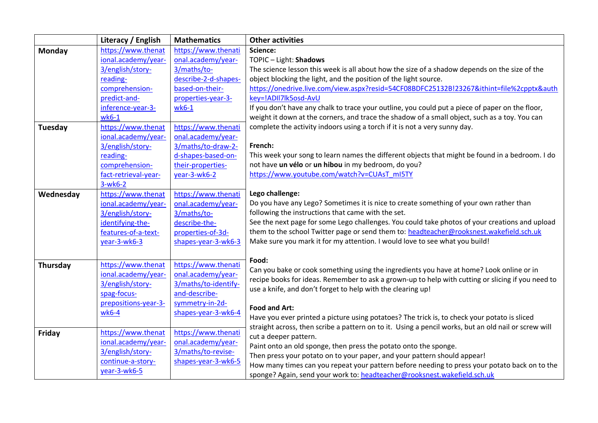|               | Literacy / English   | <b>Mathematics</b>   | <b>Other activities</b>                                                                              |  |  |  |
|---------------|----------------------|----------------------|------------------------------------------------------------------------------------------------------|--|--|--|
| <b>Monday</b> | https://www.thenat   | https://www.thenati  | Science:                                                                                             |  |  |  |
|               | ional.academy/year-  | onal.academy/year-   | TOPIC - Light: Shadows                                                                               |  |  |  |
|               | 3/english/story-     | 3/maths/to-          | The science lesson this week is all about how the size of a shadow depends on the size of the        |  |  |  |
|               | reading-             | describe-2-d-shapes- | object blocking the light, and the position of the light source.                                     |  |  |  |
|               | comprehension-       | based-on-their-      | https://onedrive.live.com/view.aspx?resid=54CF08BDFC25132B!23267&ithint=file%2cpptx&auth             |  |  |  |
|               | predict-and-         | properties-year-3-   | key=!ADII7lk5osd-AvU                                                                                 |  |  |  |
|               | inference-year-3-    | $wk6-1$              | If you don't have any chalk to trace your outline, you could put a piece of paper on the floor,      |  |  |  |
|               | $wk6-1$              |                      | weight it down at the corners, and trace the shadow of a small object, such as a toy. You can        |  |  |  |
| Tuesday       | https://www.thenat   | https://www.thenati  | complete the activity indoors using a torch if it is not a very sunny day.                           |  |  |  |
|               | ional.academy/year-  | onal.academy/year-   |                                                                                                      |  |  |  |
|               | 3/english/story-     | 3/maths/to-draw-2-   | French:                                                                                              |  |  |  |
|               | reading-             | d-shapes-based-on-   | This week your song to learn names the different objects that might be found in a bedroom. I do      |  |  |  |
|               | comprehension-       | their-properties-    | not have un vélo or un hibou in my bedroom, do you?                                                  |  |  |  |
|               | fact-retrieval-year- | year-3-wk6-2         | https://www.youtube.com/watch?v=CUAsT_mI5TY                                                          |  |  |  |
|               | $3-wk6-2$            |                      |                                                                                                      |  |  |  |
| Wednesday     | https://www.thenat   | https://www.thenati  | Lego challenge:                                                                                      |  |  |  |
|               | ional.academy/year-  | onal.academy/year-   | Do you have any Lego? Sometimes it is nice to create something of your own rather than               |  |  |  |
|               | 3/english/story-     | 3/maths/to-          | following the instructions that came with the set.                                                   |  |  |  |
|               | identifying-the-     | describe-the-        | See the next page for some Lego challenges. You could take photos of your creations and upload       |  |  |  |
|               | features-of-a-text-  | properties-of-3d-    | them to the school Twitter page or send them to: headteacher@rooksnest.wakefield.sch.uk              |  |  |  |
|               | year-3-wk6-3         | shapes-year-3-wk6-3  | Make sure you mark it for my attention. I would love to see what you build!                          |  |  |  |
|               |                      |                      |                                                                                                      |  |  |  |
| Thursday      | https://www.thenat   | https://www.thenati  | Food:                                                                                                |  |  |  |
|               | ional.academy/year-  | onal.academy/year-   | Can you bake or cook something using the ingredients you have at home? Look online or in             |  |  |  |
|               | 3/english/story-     | 3/maths/to-identify- | recipe books for ideas. Remember to ask a grown-up to help with cutting or slicing if you need to    |  |  |  |
|               | spag-focus-          | and-describe-        | use a knife, and don't forget to help with the clearing up!                                          |  |  |  |
|               | prepositions-year-3- | symmetry-in-2d-      |                                                                                                      |  |  |  |
|               | wk6-4                | shapes-year-3-wk6-4  | <b>Food and Art:</b>                                                                                 |  |  |  |
|               |                      |                      | Have you ever printed a picture using potatoes? The trick is, to check your potato is sliced         |  |  |  |
| Friday        | https://www.thenat   | https://www.thenati  | straight across, then scribe a pattern on to it. Using a pencil works, but an old nail or screw will |  |  |  |
|               | ional.academy/year-  | onal.academy/year-   | cut a deeper pattern.                                                                                |  |  |  |
|               | 3/english/story-     | 3/maths/to-revise-   | Paint onto an old sponge, then press the potato onto the sponge.                                     |  |  |  |
|               | continue-a-story-    | shapes-year-3-wk6-5  | Then press your potato on to your paper, and your pattern should appear!                             |  |  |  |
|               | year-3-wk6-5         |                      | How many times can you repeat your pattern before needing to press your potato back on to the        |  |  |  |
|               |                      |                      | sponge? Again, send your work to: headteacher@rooksnest.wakefield.sch.uk                             |  |  |  |